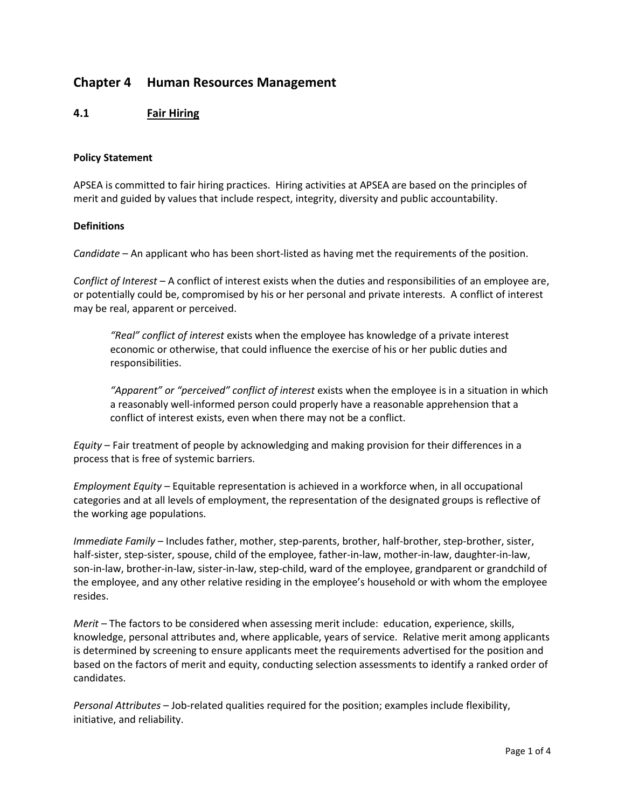# **Chapter 4 Human Resources Management**

## **4.1 Fair Hiring**

#### **Policy Statement**

APSEA is committed to fair hiring practices. Hiring activities at APSEA are based on the principles of merit and guided by values that include respect, integrity, diversity and public accountability.

### **Definitions**

*Candidate* – An applicant who has been short-listed as having met the requirements of the position.

*Conflict of Interest* – A conflict of interest exists when the duties and responsibilities of an employee are, or potentially could be, compromised by his or her personal and private interests. A conflict of interest may be real, apparent or perceived.

*"Real" conflict of interest* exists when the employee has knowledge of a private interest economic or otherwise, that could influence the exercise of his or her public duties and responsibilities.

*"Apparent" or "perceived" conflict of interest* exists when the employee is in a situation in which a reasonably well-informed person could properly have a reasonable apprehension that a conflict of interest exists, even when there may not be a conflict.

*Equity* – Fair treatment of people by acknowledging and making provision for their differences in a process that is free of systemic barriers.

*Employment Equity* – Equitable representation is achieved in a workforce when, in all occupational categories and at all levels of employment, the representation of the designated groups is reflective of the working age populations.

*Immediate Family* – Includes father, mother, step-parents, brother, half-brother, step-brother, sister, half-sister, step-sister, spouse, child of the employee, father-in-law, mother-in-law, daughter-in-law, son-in-law, brother-in-law, sister-in-law, step-child, ward of the employee, grandparent or grandchild of the employee, and any other relative residing in the employee's household or with whom the employee resides.

*Merit* – The factors to be considered when assessing merit include: education, experience, skills, knowledge, personal attributes and, where applicable, years of service. Relative merit among applicants is determined by screening to ensure applicants meet the requirements advertised for the position and based on the factors of merit and equity, conducting selection assessments to identify a ranked order of candidates.

*Personal Attributes* – Job-related qualities required for the position; examples include flexibility, initiative, and reliability.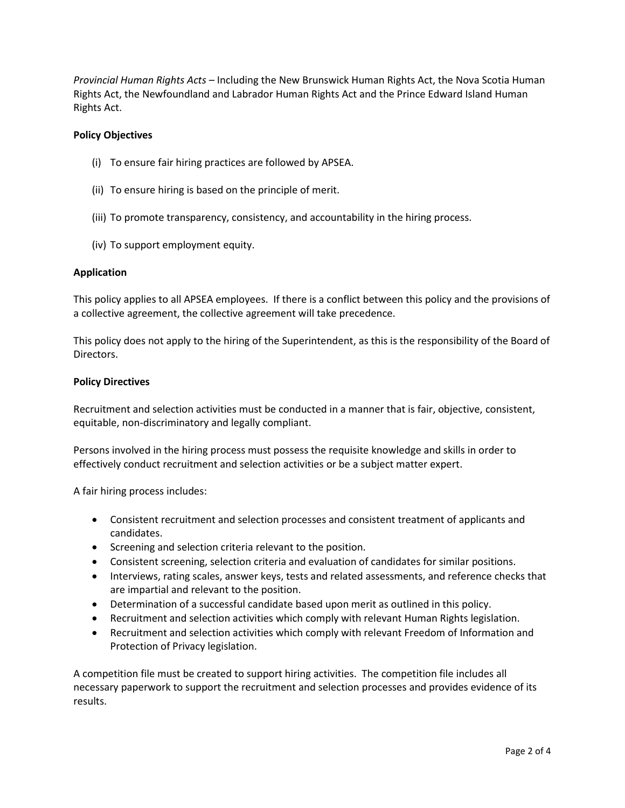*Provincial Human Rights Acts* – Including the New Brunswick Human Rights Act, the Nova Scotia Human Rights Act, the Newfoundland and Labrador Human Rights Act and the Prince Edward Island Human Rights Act.

## **Policy Objectives**

- (i) To ensure fair hiring practices are followed by APSEA.
- (ii) To ensure hiring is based on the principle of merit.
- (iii) To promote transparency, consistency, and accountability in the hiring process.
- (iv) To support employment equity.

#### **Application**

This policy applies to all APSEA employees. If there is a conflict between this policy and the provisions of a collective agreement, the collective agreement will take precedence.

This policy does not apply to the hiring of the Superintendent, as this is the responsibility of the Board of Directors.

#### **Policy Directives**

Recruitment and selection activities must be conducted in a manner that is fair, objective, consistent, equitable, non-discriminatory and legally compliant.

Persons involved in the hiring process must possess the requisite knowledge and skills in order to effectively conduct recruitment and selection activities or be a subject matter expert.

A fair hiring process includes:

- Consistent recruitment and selection processes and consistent treatment of applicants and candidates.
- Screening and selection criteria relevant to the position.
- Consistent screening, selection criteria and evaluation of candidates for similar positions.
- Interviews, rating scales, answer keys, tests and related assessments, and reference checks that are impartial and relevant to the position.
- Determination of a successful candidate based upon merit as outlined in this policy.
- Recruitment and selection activities which comply with relevant Human Rights legislation.
- Recruitment and selection activities which comply with relevant Freedom of Information and Protection of Privacy legislation.

A competition file must be created to support hiring activities. The competition file includes all necessary paperwork to support the recruitment and selection processes and provides evidence of its results.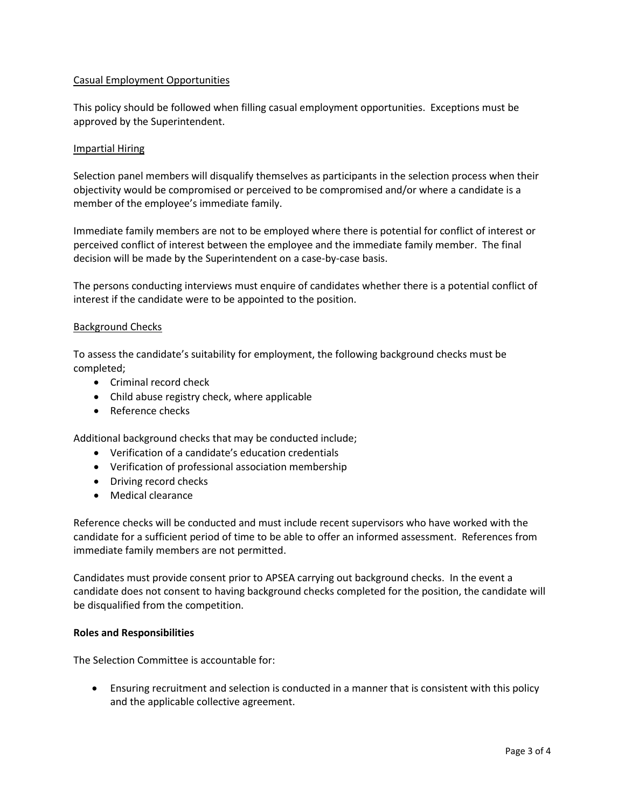## Casual Employment Opportunities

This policy should be followed when filling casual employment opportunities. Exceptions must be approved by the Superintendent.

#### Impartial Hiring

Selection panel members will disqualify themselves as participants in the selection process when their objectivity would be compromised or perceived to be compromised and/or where a candidate is a member of the employee's immediate family.

Immediate family members are not to be employed where there is potential for conflict of interest or perceived conflict of interest between the employee and the immediate family member. The final decision will be made by the Superintendent on a case-by-case basis.

The persons conducting interviews must enquire of candidates whether there is a potential conflict of interest if the candidate were to be appointed to the position.

#### Background Checks

To assess the candidate's suitability for employment, the following background checks must be completed;

- Criminal record check
- Child abuse registry check, where applicable
- Reference checks

Additional background checks that may be conducted include;

- Verification of a candidate's education credentials
- Verification of professional association membership
- Driving record checks
- Medical clearance

Reference checks will be conducted and must include recent supervisors who have worked with the candidate for a sufficient period of time to be able to offer an informed assessment. References from immediate family members are not permitted.

Candidates must provide consent prior to APSEA carrying out background checks. In the event a candidate does not consent to having background checks completed for the position, the candidate will be disqualified from the competition.

#### **Roles and Responsibilities**

The Selection Committee is accountable for:

 Ensuring recruitment and selection is conducted in a manner that is consistent with this policy and the applicable collective agreement.